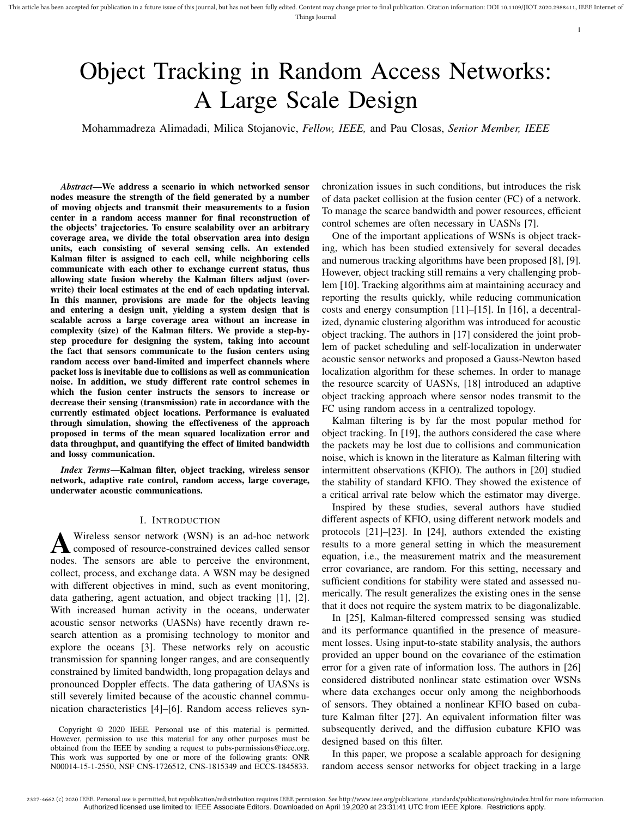# Object Tracking in Random Access Networks: A Large Scale Design

Mohammadreza Alimadadi, Milica Stojanovic, *Fellow, IEEE,* and Pau Closas, *Senior Member, IEEE*

*Abstract*—We address a scenario in which networked sensor nodes measure the strength of the field generated by a number of moving objects and transmit their measurements to a fusion center in a random access manner for final reconstruction of the objects' trajectories. To ensure scalability over an arbitrary coverage area, we divide the total observation area into design units, each consisting of several sensing cells. An extended Kalman filter is assigned to each cell, while neighboring cells communicate with each other to exchange current status, thus allowing state fusion whereby the Kalman filters adjust (overwrite) their local estimates at the end of each updating interval. In this manner, provisions are made for the objects leaving and entering a design unit, yielding a system design that is scalable across a large coverage area without an increase in complexity (size) of the Kalman filters. We provide a step-bystep procedure for designing the system, taking into account the fact that sensors communicate to the fusion centers using random access over band-limited and imperfect channels where packet loss is inevitable due to collisions as well as communication noise. In addition, we study different rate control schemes in which the fusion center instructs the sensors to increase or decrease their sensing (transmission) rate in accordance with the currently estimated object locations. Performance is evaluated through simulation, showing the effectiveness of the approach proposed in terms of the mean squared localization error and data throughput, and quantifying the effect of limited bandwidth and lossy communication.

*Index Terms*—Kalman filter, object tracking, wireless sensor network, adaptive rate control, random access, large coverage, underwater acoustic communications.

## I. INTRODUCTION

**A** Wireless sensor network (WSN) is an ad-hoc network composed of resource-constrained devices called sensor nodes. The sensors are able to perceive the environment, Wireless sensor network (WSN) is an ad-hoc network composed of resource-constrained devices called sensor collect, process, and exchange data. A WSN may be designed with different objectives in mind, such as event monitoring, data gathering, agent actuation, and object tracking [1], [2]. With increased human activity in the oceans, underwater acoustic sensor networks (UASNs) have recently drawn research attention as a promising technology to monitor and explore the oceans [3]. These networks rely on acoustic transmission for spanning longer ranges, and are consequently constrained by limited bandwidth, long propagation delays and pronounced Doppler effects. The data gathering of UASNs is still severely limited because of the acoustic channel communication characteristics [4]–[6]. Random access relieves syn-

Copyright © 2020 IEEE. Personal use of this material is permitted. However, permission to use this material for any other purposes must be obtained from the IEEE by sending a request to pubs-permissions@ieee.org. This work was supported by one or more of the following grants: ONR N00014-15-1-2550, NSF CNS-1726512, CNS-1815349 and ECCS-1845833. chronization issues in such conditions, but introduces the risk of data packet collision at the fusion center (FC) of a network. To manage the scarce bandwidth and power resources, efficient control schemes are often necessary in UASNs [7].

1

One of the important applications of WSNs is object tracking, which has been studied extensively for several decades and numerous tracking algorithms have been proposed [8], [9]. However, object tracking still remains a very challenging problem [10]. Tracking algorithms aim at maintaining accuracy and reporting the results quickly, while reducing communication costs and energy consumption [11]–[15]. In [16], a decentralized, dynamic clustering algorithm was introduced for acoustic object tracking. The authors in [17] considered the joint problem of packet scheduling and self-localization in underwater acoustic sensor networks and proposed a Gauss-Newton based localization algorithm for these schemes. In order to manage the resource scarcity of UASNs, [18] introduced an adaptive object tracking approach where sensor nodes transmit to the FC using random access in a centralized topology.

Kalman filtering is by far the most popular method for object tracking. In [19], the authors considered the case where the packets may be lost due to collisions and communication noise, which is known in the literature as Kalman filtering with intermittent observations (KFIO). The authors in [20] studied the stability of standard KFIO. They showed the existence of a critical arrival rate below which the estimator may diverge.

Inspired by these studies, several authors have studied different aspects of KFIO, using different network models and protocols [21]–[23]. In [24], authors extended the existing results to a more general setting in which the measurement equation, i.e., the measurement matrix and the measurement error covariance, are random. For this setting, necessary and sufficient conditions for stability were stated and assessed numerically. The result generalizes the existing ones in the sense that it does not require the system matrix to be diagonalizable.

In [25], Kalman-filtered compressed sensing was studied and its performance quantified in the presence of measurement losses. Using input-to-state stability analysis, the authors provided an upper bound on the covariance of the estimation error for a given rate of information loss. The authors in [26] considered distributed nonlinear state estimation over WSNs where data exchanges occur only among the neighborhoods of sensors. They obtained a nonlinear KFIO based on cubature Kalman filter [27]. An equivalent information filter was subsequently derived, and the diffusion cubature KFIO was designed based on this filter.

In this paper, we propose a scalable approach for designing random access sensor networks for object tracking in a large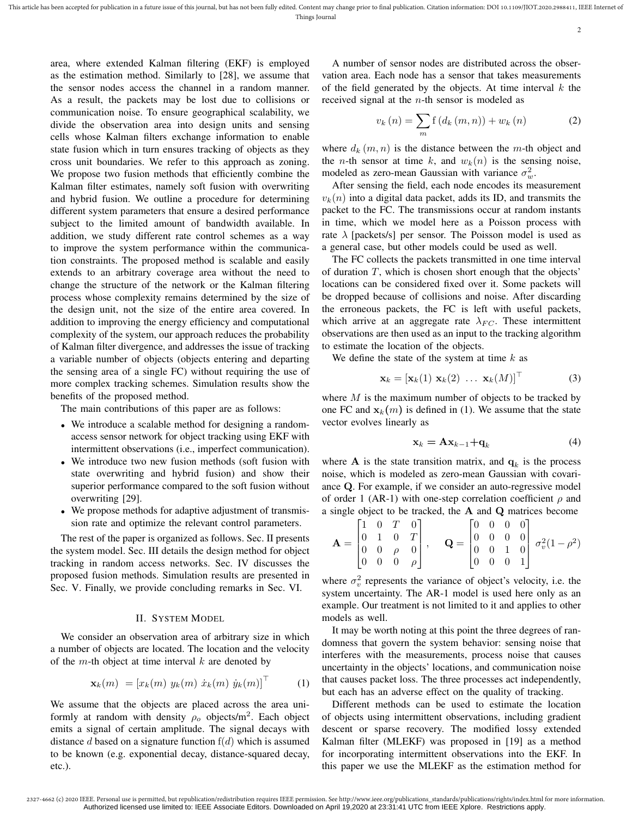2

area, where extended Kalman filtering (EKF) is employed as the estimation method. Similarly to [28], we assume that the sensor nodes access the channel in a random manner. As a result, the packets may be lost due to collisions or communication noise. To ensure geographical scalability, we divide the observation area into design units and sensing cells whose Kalman filters exchange information to enable state fusion which in turn ensures tracking of objects as they cross unit boundaries. We refer to this approach as zoning. We propose two fusion methods that efficiently combine the Kalman filter estimates, namely soft fusion with overwriting and hybrid fusion. We outline a procedure for determining different system parameters that ensure a desired performance subject to the limited amount of bandwidth available. In addition, we study different rate control schemes as a way to improve the system performance within the communication constraints. The proposed method is scalable and easily extends to an arbitrary coverage area without the need to change the structure of the network or the Kalman filtering process whose complexity remains determined by the size of the design unit, not the size of the entire area covered. In addition to improving the energy efficiency and computational complexity of the system, our approach reduces the probability of Kalman filter divergence, and addresses the issue of tracking a variable number of objects (objects entering and departing the sensing area of a single FC) without requiring the use of more complex tracking schemes. Simulation results show the benefits of the proposed method.

The main contributions of this paper are as follows:

- We introduce a scalable method for designing a randomaccess sensor network for object tracking using EKF with intermittent observations (i.e., imperfect communication).
- We introduce two new fusion methods (soft fusion with state overwriting and hybrid fusion) and show their superior performance compared to the soft fusion without overwriting [29].
- We propose methods for adaptive adjustment of transmission rate and optimize the relevant control parameters.

The rest of the paper is organized as follows. Sec. II presents the system model. Sec. III details the design method for object tracking in random access networks. Sec. IV discusses the proposed fusion methods. Simulation results are presented in Sec. V. Finally, we provide concluding remarks in Sec. VI.

### II. SYSTEM MODEL

We consider an observation area of arbitrary size in which a number of objects are located. The location and the velocity of the *m*-th object at time interval  $k$  are denoted by

$$
\mathbf{x}_k(m) = \left[x_k(m) \ y_k(m) \ \dot{x}_k(m) \ \dot{y}_k(m)\right]^\top \tag{1}
$$

We assume that the objects are placed across the area uniformly at random with density  $\rho_o$  objects/m<sup>2</sup>. Each object emits a signal of certain amplitude. The signal decays with distance d based on a signature function  $f(d)$  which is assumed to be known (e.g. exponential decay, distance-squared decay, etc.).

A number of sensor nodes are distributed across the observation area. Each node has a sensor that takes measurements of the field generated by the objects. At time interval  $k$  the received signal at the  $n$ -th sensor is modeled as

$$
v_{k}(n) = \sum_{m} f(d_{k}(m, n)) + w_{k}(n)
$$
 (2)

where  $d_k(m, n)$  is the distance between the m-th object and the *n*-th sensor at time k, and  $w_k(n)$  is the sensing noise, modeled as zero-mean Gaussian with variance  $\sigma_w^2$ .

After sensing the field, each node encodes its measurement  $v_k(n)$  into a digital data packet, adds its ID, and transmits the packet to the FC. The transmissions occur at random instants in time, which we model here as a Poisson process with rate  $\lambda$  [packets/s] per sensor. The Poisson model is used as a general case, but other models could be used as well.

The FC collects the packets transmitted in one time interval of duration  $T$ , which is chosen short enough that the objects' locations can be considered fixed over it. Some packets will be dropped because of collisions and noise. After discarding the erroneous packets, the FC is left with useful packets, which arrive at an aggregate rate  $\lambda_{FC}$ . These intermittent observations are then used as an input to the tracking algorithm to estimate the location of the objects.

We define the state of the system at time  $k$  as

$$
\mathbf{x}_k = [\mathbf{x}_k(1) \; \mathbf{x}_k(2) \; \dots \; \mathbf{x}_k(M)]^\top \tag{3}
$$

where  $M$  is the maximum number of objects to be tracked by one FC and  $x_k(m)$  is defined in (1). We assume that the state vector evolves linearly as

$$
\mathbf{x}_k = \mathbf{A}\mathbf{x}_{k-1} + \mathbf{q}_k \tag{4}
$$

where **A** is the state transition matrix, and  $q_k$  is the process noise, which is modeled as zero-mean Gaussian with covariance Q. For example, if we consider an auto-regressive model of order 1 (AR-1) with one-step correlation coefficient  $\rho$  and a single object to be tracked, the A and Q matrices become

$$
\mathbf{A} = \begin{bmatrix} 1 & 0 & T & 0 \\ 0 & 1 & 0 & T \\ 0 & 0 & \rho & 0 \\ 0 & 0 & 0 & \rho \end{bmatrix}, \quad \mathbf{Q} = \begin{bmatrix} 0 & 0 & 0 & 0 \\ 0 & 0 & 0 & 0 \\ 0 & 0 & 1 & 0 \\ 0 & 0 & 0 & 1 \end{bmatrix} \sigma_v^2 (1 - \rho^2)
$$

where  $\sigma_v^2$  represents the variance of object's velocity, i.e. the system uncertainty. The AR-1 model is used here only as an example. Our treatment is not limited to it and applies to other models as well.

It may be worth noting at this point the three degrees of randomness that govern the system behavior: sensing noise that interferes with the measurements, process noise that causes uncertainty in the objects' locations, and communication noise that causes packet loss. The three processes act independently, but each has an adverse effect on the quality of tracking.

Different methods can be used to estimate the location of objects using intermittent observations, including gradient descent or sparse recovery. The modified lossy extended Kalman filter (MLEKF) was proposed in [19] as a method for incorporating intermittent observations into the EKF. In this paper we use the MLEKF as the estimation method for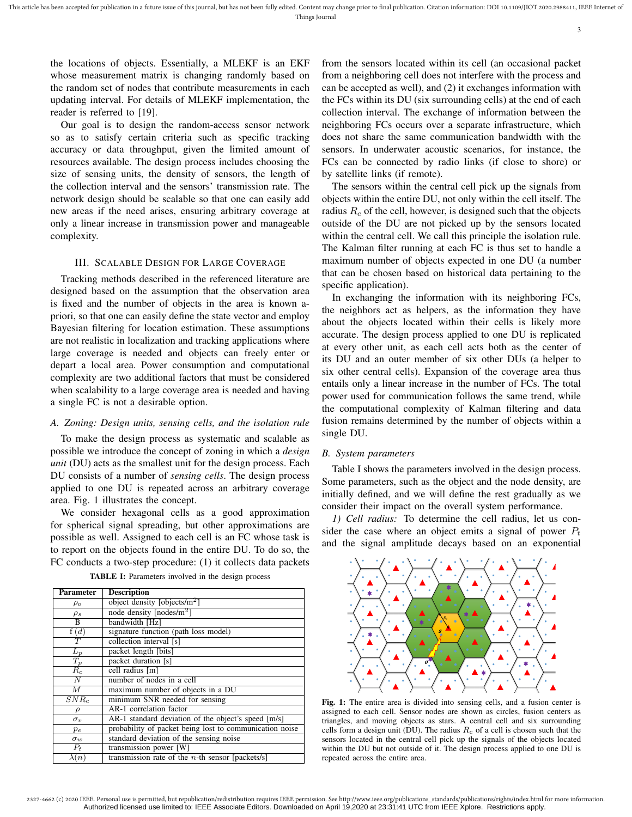the locations of objects. Essentially, a MLEKF is an EKF whose measurement matrix is changing randomly based on the random set of nodes that contribute measurements in each updating interval. For details of MLEKF implementation, the reader is referred to [19].

Our goal is to design the random-access sensor network so as to satisfy certain criteria such as specific tracking accuracy or data throughput, given the limited amount of resources available. The design process includes choosing the size of sensing units, the density of sensors, the length of the collection interval and the sensors' transmission rate. The network design should be scalable so that one can easily add new areas if the need arises, ensuring arbitrary coverage at only a linear increase in transmission power and manageable complexity.

## III. SCALABLE DESIGN FOR LARGE COVERAGE

Tracking methods described in the referenced literature are designed based on the assumption that the observation area is fixed and the number of objects in the area is known apriori, so that one can easily define the state vector and employ Bayesian filtering for location estimation. These assumptions are not realistic in localization and tracking applications where large coverage is needed and objects can freely enter or depart a local area. Power consumption and computational complexity are two additional factors that must be considered when scalability to a large coverage area is needed and having a single FC is not a desirable option.

#### *A. Zoning: Design units, sensing cells, and the isolation rule*

To make the design process as systematic and scalable as possible we introduce the concept of zoning in which a *design unit* (DU) acts as the smallest unit for the design process. Each DU consists of a number of *sensing cells*. The design process applied to one DU is repeated across an arbitrary coverage area. Fig. 1 illustrates the concept.

We consider hexagonal cells as a good approximation for spherical signal spreading, but other approximations are possible as well. Assigned to each cell is an FC whose task is to report on the objects found in the entire DU. To do so, the FC conducts a two-step procedure: (1) it collects data packets

TABLE I: Parameters involved in the design process

| <b>Parameter</b> | <b>Description</b>                                      |
|------------------|---------------------------------------------------------|
| $\rho_o$         | object density [objects/ $m2$ ]                         |
| $\rho_s$         | node density $[nodes/m^2]$                              |
| B                | bandwidth [Hz]                                          |
| f(d)             | signature function (path loss model)                    |
| $\overline{T}$   | collection interval [s]                                 |
| $\overline{L_p}$ | packet length [bits]                                    |
| $\overline{T_p}$ | packet duration [s]                                     |
| $\overline{R_c}$ | cell radius [m]                                         |
| $\overline{N}$   | number of nodes in a cell                               |
| $\overline{M}$   | maximum number of objects in a DU                       |
| $SNR_c$          | minimum SNR needed for sensing                          |
| $\rho$           | AR-1 correlation factor                                 |
| $\sigma_v$       | AR-1 standard deviation of the object's speed [m/s]     |
| $p_e$            | probability of packet being lost to communication noise |
| $\sigma_w$       | standard deviation of the sensing noise                 |
| $P_t$            | transmission power [W]                                  |
| $\lambda(n)$     | transmission rate of the $n$ -th sensor [packets/s]     |

from the sensors located within its cell (an occasional packet from a neighboring cell does not interfere with the process and can be accepted as well), and (2) it exchanges information with the FCs within its DU (six surrounding cells) at the end of each collection interval. The exchange of information between the neighboring FCs occurs over a separate infrastructure, which does not share the same communication bandwidth with the sensors. In underwater acoustic scenarios, for instance, the FCs can be connected by radio links (if close to shore) or by satellite links (if remote).

The sensors within the central cell pick up the signals from objects within the entire DU, not only within the cell itself. The radius  $R_c$  of the cell, however, is designed such that the objects outside of the DU are not picked up by the sensors located within the central cell. We call this principle the isolation rule. The Kalman filter running at each FC is thus set to handle a maximum number of objects expected in one DU (a number that can be chosen based on historical data pertaining to the specific application).

In exchanging the information with its neighboring FCs, the neighbors act as helpers, as the information they have about the objects located within their cells is likely more accurate. The design process applied to one DU is replicated at every other unit, as each cell acts both as the center of its DU and an outer member of six other DUs (a helper to six other central cells). Expansion of the coverage area thus entails only a linear increase in the number of FCs. The total power used for communication follows the same trend, while the computational complexity of Kalman filtering and data fusion remains determined by the number of objects within a single DU.

## *B. System parameters*

Table I shows the parameters involved in the design process. Some parameters, such as the object and the node density, are initially defined, and we will define the rest gradually as we consider their impact on the overall system performance.

*1) Cell radius:* To determine the cell radius, let us consider the case where an object emits a signal of power  $P_t$ and the signal amplitude decays based on an exponential



Fig. 1: The entire area is divided into sensing cells, and a fusion center is assigned to each cell. Sensor nodes are shown as circles, fusion centers as triangles, and moving objects as stars. A central cell and six surrounding cells form a design unit (DU). The radius  $R_c$  of a cell is chosen such that the sensors located in the central cell pick up the signals of the objects located within the DU but not outside of it. The design process applied to one DU is repeated across the entire area.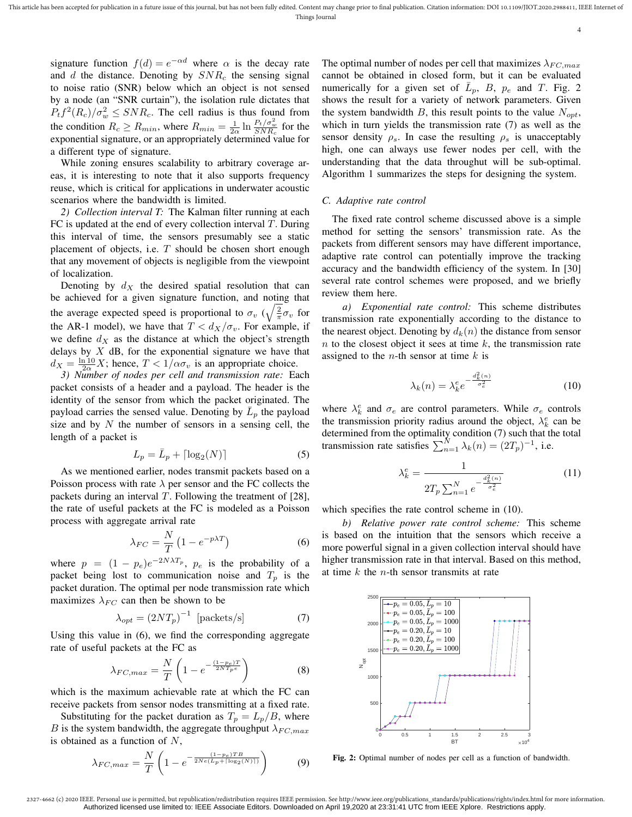signature function  $f(d) = e^{-\alpha d}$  where  $\alpha$  is the decay rate and  $d$  the distance. Denoting by  $SNR_c$  the sensing signal to noise ratio (SNR) below which an object is not sensed by a node (an "SNR curtain"), the isolation rule dictates that  $P_t f^2(R_c)/\sigma_w^2 \leq SNR_c$ . The cell radius is thus found from the condition  $R_c \ge R_{min}$ , where  $R_{min} = \frac{1}{2\alpha} \ln \frac{P_t/\sigma_w^2}{SNR_c}$  for the exponential signature, or an appropriately determined value for a different type of signature.

While zoning ensures scalability to arbitrary coverage areas, it is interesting to note that it also supports frequency reuse, which is critical for applications in underwater acoustic scenarios where the bandwidth is limited.

*2) Collection interval T:* The Kalman filter running at each FC is updated at the end of every collection interval  $T$ . During this interval of time, the sensors presumably see a static placement of objects, i.e.  $T$  should be chosen short enough that any movement of objects is negligible from the viewpoint of localization.

Denoting by  $d_X$  the desired spatial resolution that can be achieved for a given signature function, and noting that the average expected speed is proportional to  $\sigma_v$  ( $\sqrt{\frac{2}{\pi}}\sigma_v$  for the AR-1 model), we have that  $T < d_X/\sigma_v$ . For example, if we define  $d_X$  as the distance at which the object's strength delays by  $X$  dB, for the exponential signature we have that  $d_X = \frac{\ln 10}{2\alpha} X$ ; hence,  $T < 1/\alpha \sigma_v$  is an appropriate choice.

*3) Number of nodes per cell and transmission rate:* Each packet consists of a header and a payload. The header is the identity of the sensor from which the packet originated. The payload carries the sensed value. Denoting by  $\bar{L}_p$  the payload size and by  $N$  the number of sensors in a sensing cell, the length of a packet is

$$
L_p = \bar{L}_p + \lceil \log_2(N) \rceil \tag{5}
$$

As we mentioned earlier, nodes transmit packets based on a Poisson process with rate  $\lambda$  per sensor and the FC collects the packets during an interval  $T$ . Following the treatment of [28], the rate of useful packets at the FC is modeled as a Poisson process with aggregate arrival rate

$$
\lambda_{FC} = \frac{N}{T} \left( 1 - e^{-p\lambda T} \right) \tag{6}
$$

where  $p = (1 - p_e)e^{-2N\lambda T_p}$ ,  $p_e$  is the probability of a packet being lost to communication noise and  $T_p$  is the packet duration. The optimal per node transmission rate which maximizes  $\lambda_{FC}$  can then be shown to be

$$
\lambda_{opt} = (2NT_p)^{-1} \text{ [packets/s]}
$$
 (7)

Using this value in (6), we find the corresponding aggregate rate of useful packets at the FC as

$$
\lambda_{FC,max} = \frac{N}{T} \left( 1 - e^{-\frac{(1 - p_e)T}{2NT_p e}} \right)
$$
 (8)

which is the maximum achievable rate at which the FC can receive packets from sensor nodes transmitting at a fixed rate.

Substituting for the packet duration as  $T_p = L_p/B$ , where B is the system bandwidth, the aggregate throughput  $\lambda_{FC,max}$ is obtained as a function of  $N$ ,

$$
\lambda_{FC,max} = \frac{N}{T} \left( 1 - e^{-\frac{(1 - p_e)T B}{2Ne(L_p + \lceil \log_2(N) \rceil)}} \right) \tag{9}
$$

The optimal number of nodes per cell that maximizes  $\lambda_{FC,max}$ cannot be obtained in closed form, but it can be evaluated numerically for a given set of  $\bar{L}_p$ ,  $B$ ,  $p_e$  and  $T$ . Fig. 2 shows the result for a variety of network parameters. Given the system bandwidth B, this result points to the value  $N_{opt}$ , which in turn yields the transmission rate (7) as well as the sensor density  $\rho_s$ . In case the resulting  $\rho_s$  is unacceptably high, one can always use fewer nodes per cell, with the understanding that the data throughut will be sub-optimal. Algorithm 1 summarizes the steps for designing the system.

## *C. Adaptive rate control*

The fixed rate control scheme discussed above is a simple method for setting the sensors' transmission rate. As the packets from different sensors may have different importance, adaptive rate control can potentially improve the tracking accuracy and the bandwidth efficiency of the system. In [30] several rate control schemes were proposed, and we briefly review them here.

*a) Exponential rate control:* This scheme distributes transmission rate exponentially according to the distance to the nearest object. Denoting by  $d_k(n)$  the distance from sensor  $n$  to the closest object it sees at time  $k$ , the transmission rate assigned to the *n*-th sensor at time  $k$  is

$$
\lambda_k(n) = \lambda_k^e e^{-\frac{d_k^2(n)}{\sigma_e^2}}
$$
\n(10)

where  $\lambda_k^e$  and  $\sigma_e$  are control parameters. While  $\sigma_e$  controls the transmission priority radius around the object,  $\lambda_k^e$  can be determined from the optimality condition (7) such that the total transmission rate satisfies  $\sum_{n=1}^{N} \lambda_k(n) = (2T_p)^{-1}$ , i.e.

$$
\lambda_k^e = \frac{1}{2T_p \sum_{n=1}^N e^{-\frac{d_k^2(n)}{\sigma_e^2}}}
$$
(11)

which specifies the rate control scheme in  $(10)$ .

*b) Relative power rate control scheme:* This scheme is based on the intuition that the sensors which receive a more powerful signal in a given collection interval should have higher transmission rate in that interval. Based on this method, at time  $k$  the *n*-th sensor transmits at rate



Fig. 2: Optimal number of nodes per cell as a function of bandwidth.

2327-4662 (c) 2020 IEEE. Personal use is permitted, but republication/redistribution requires IEEE permission. See http://www.ieee.org/publications\_standards/publications/rights/index.html for more information. Authorized licensed use limited to: IEEE Associate Editors. Downloaded on April 19,2020 at 23:31:41 UTC from IEEE Xplore. Restrictions apply.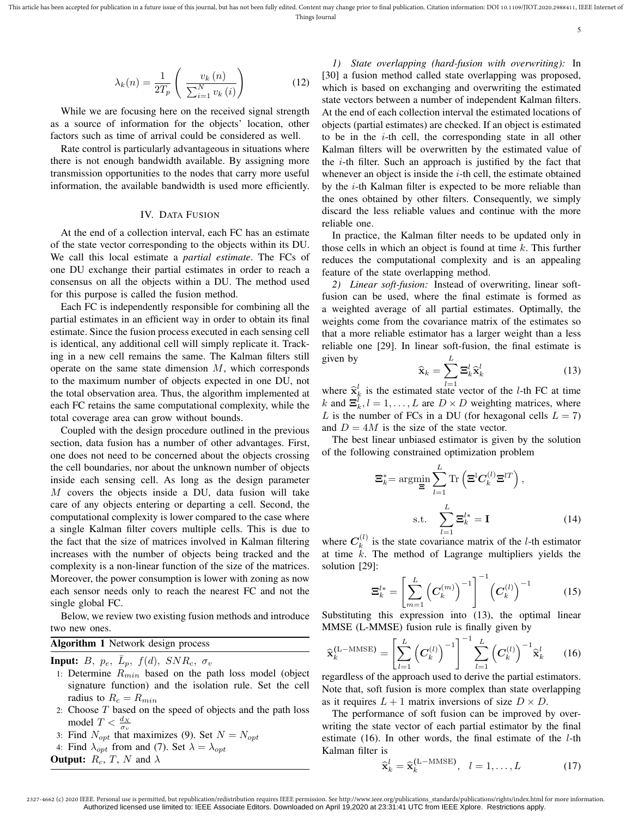This article has been accepted for publication in a future issue of this journal, but has not been fully edited. Content may change prior to final publication. Citation information: DOI 10.1109/JIOT.2020.2988411, IEEE Inte Things Journal

5

$$
\lambda_k(n) = \frac{1}{2T_p} \left( \frac{v_k(n)}{\sum_{i=1}^N v_k(i)} \right) \tag{12}
$$

While we are focusing here on the received signal strength as a source of information for the objects' location, other factors such as time of arrival could be considered as well.

Rate control is particularly advantageous in situations where there is not enough bandwidth available. By assigning more transmission opportunities to the nodes that carry more useful information, the available bandwidth is used more efficiently.

## IV. DATA FUSION

At the end of a collection interval, each FC has an estimate of the state vector corresponding to the objects within its DU. We call this local estimate a *partial estimate*. The FCs of one DU exchange their partial estimates in order to reach a consensus on all the objects within a DU. The method used for this purpose is called the fusion method.

Each FC is independently responsible for combining all the partial estimates in an efficient way in order to obtain its final estimate. Since the fusion process executed in each sensing cell is identical, any additional cell will simply replicate it. Tracking in a new cell remains the same. The Kalman filters still operate on the same state dimension  $M$ , which corresponds to the maximum number of objects expected in one DU, not the total observation area. Thus, the algorithm implemented at each FC retains the same computational complexity, while the total coverage area can grow without bounds.

Coupled with the design procedure outlined in the previous section, data fusion has a number of other advantages. First, one does not need to be concerned about the objects crossing the cell boundaries, nor about the unknown number of objects inside each sensing cell. As long as the design parameter M covers the objects inside a DU, data fusion will take care of any objects entering or departing a cell. Second, the computational complexity is lower compared to the case where a single Kalman filter covers multiple cells. This is due to the fact that the size of matrices involved in Kalman filtering increases with the number of objects being tracked and the complexity is a non-linear function of the size of the matrices. Moreover, the power consumption is lower with zoning as now each sensor needs only to reach the nearest FC and not the single global FC.

Below, we review two existing fusion methods and introduce two new ones.

### Algorithm 1 Network design process

**Input:** B,  $p_e$ ,  $\bar{L}_p$ ,  $f(d)$ ,  $SNR_c$ ,  $\sigma_v$ 

- 1: Determine  $R_{min}$  based on the path loss model (object signature function) and the isolation rule. Set the cell radius to  $R_c = R_{min}$
- 2: Choose  $T$  based on the speed of objects and the path loss model  $T < \frac{d_X}{\sigma}$
- 3: Find  $N_{opt}$  that maximizes (9). Set  $N = N_{opt}$

4: Find 
$$
\lambda_{opt}
$$
 from and (7). Set  $\lambda = \lambda_{opt}$ 

**Output:**  $R_c$ , T, N and  $\lambda$ 

*1) State overlapping (hard-fusion with overwriting):* In [30] a fusion method called state overlapping was proposed, which is based on exchanging and overwriting the estimated state vectors between a number of independent Kalman filters. At the end of each collection interval the estimated locations of objects (partial estimates) are checked. If an object is estimated to be in the  $i$ -th cell, the corresponding state in all other Kalman filters will be overwritten by the estimated value of the i-th filter. Such an approach is justified by the fact that whenever an object is inside the  $i$ -th cell, the estimate obtained by the i-th Kalman filter is expected to be more reliable than the ones obtained by other filters. Consequently, we simply discard the less reliable values and continue with the more reliable one.

In practice, the Kalman filter needs to be updated only in those cells in which an object is found at time  $k$ . This further reduces the computational complexity and is an appealing feature of the state overlapping method.

*2) Linear soft-fusion:* Instead of overwriting, linear softfusion can be used, where the final estimate is formed as a weighted average of all partial estimates. Optimally, the weights come from the covariance matrix of the estimates so that a more reliable estimator has a larger weight than a less reliable one [29]. In linear soft-fusion, the final estimate is given by  $\overline{L}$ 

$$
\widehat{\mathbf{x}}_k = \sum_{l=1} \mathbf{\Xi}_k^l \widehat{\mathbf{x}}_k^l \tag{13}
$$

where  $\hat{\mathbf{x}}_k^l$  is the estimated state vector of the *l*-th FC at time  $l_1$  and  $\mathbf{\nabla}^l$   $l = 1$   $l_1$  are  $l_2 \times l_3$  weighting matrices where k and  $\Xi_k^l$ ,  $l = 1, \ldots, L$  are  $D \times D$  weighting matrices, where L is the number of FCs in a DU (for hexagonal cells  $L = 7$ ) and  $D = 4M$  is the size of the state vector.

The best linear unbiased estimator is given by the solution of the following constrained optimization problem

$$
\Xi_k^* = \operatorname*{argmin}_{\Xi} \sum_{l=1}^L \operatorname{Tr} \left( \Xi^l C_k^{(l)} \Xi^{l} \right),
$$
  
s.t. 
$$
\sum_{l=1}^L \Xi_k^{l*} = \mathbf{I}
$$
(14)

where  $C_k^{(l)}$  is the state covarian  $\kappa_k^{(l)}$  is the state covariance matrix of the *l*-th estimator at time  $k$ . The method of Lagrange multipliers yields the solution [29]:

$$
\Xi_k^{l*} = \left[\sum_{m=1}^L \left(C_k^{(m)}\right)^{-1}\right]^{-1} \left(C_k^{(l)}\right)^{-1} \tag{15}
$$

Substituting this expression into (13), the optimal linear MMSE (L-MMSE) fusion rule is finally given by

$$
\widehat{\mathbf{x}}_k^{(\text{L-MMSE})} = \left[\sum_{l=1}^L \left(C_k^{(l)}\right)^{-1}\right]^{-1} \sum_{l=1}^L \left(C_k^{(l)}\right)^{-1} \widehat{\mathbf{x}}_k^l \qquad (16)
$$

regardless of the approach used to derive the partial estimators. Note that, soft fusion is more complex than state overlapping as it requires  $L + 1$  matrix inversions of size  $D \times D$ .

The performance of soft fusion can be improved by overwriting the state vector of each partial estimator by the final estimate  $(16)$ . In other words, the final estimate of the *l*-th Kalman filter is

$$
\hat{\mathbf{x}}_k^l = \hat{\mathbf{x}}_k^{\text{(L-MMSE)}}, \quad l = 1, \dots, L \tag{17}
$$

2327-4662 (c) 2020 IEEE. Personal use is permitted, but republication/redistribution requires IEEE permission. See http://www.ieee.org/publications\_standards/publications/rights/index.html for more information. Authorized licensed use limited to: IEEE Associate Editors. Downloaded on April 19,2020 at 23:31:41 UTC from IEEE Xplore. Restrictions apply.

 $\tilde{z}$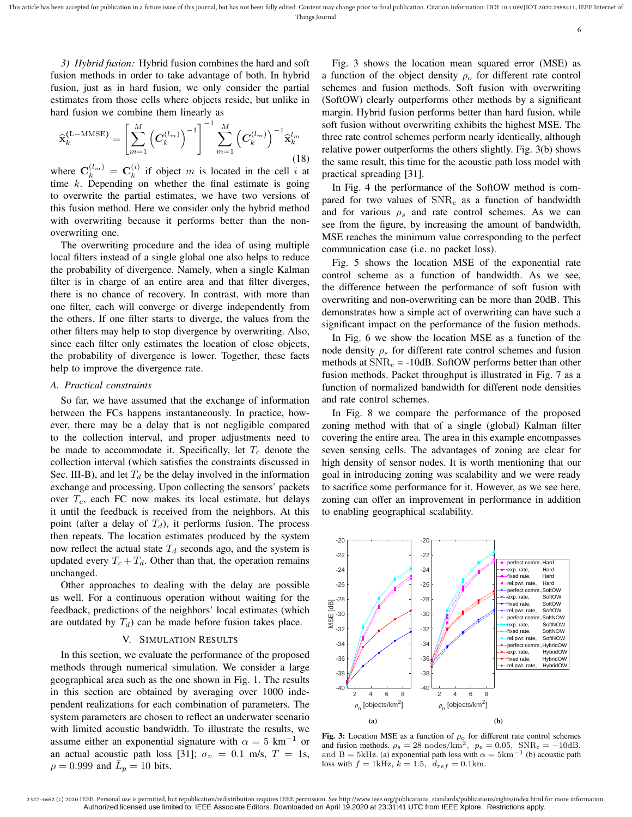6

*3) Hybrid fusion:* Hybrid fusion combines the hard and soft fusion methods in order to take advantage of both. In hybrid fusion, just as in hard fusion, we only consider the partial estimates from those cells where objects reside, but unlike in hard fusion we combine them linearly as

$$
\widehat{\mathbf{x}}_{k}^{(\text{L-MMSE})} = \left[ \sum_{m=1}^{M} \left( \mathbf{C}_{k}^{(l_{m})} \right)^{-1} \right]^{-1} \sum_{m=1}^{M} \left( \mathbf{C}_{k}^{(l_{m})} \right)^{-1} \widehat{\mathbf{x}}_{k}^{l_{m}}
$$
\n(18)

where  $\mathbf{C}_k^{(l_m)} = \mathbf{C}_k^{(i)}$  $\binom{n}{k}$  if object m is located in the cell i at time  $k$ . Depending on whether the final estimate is going to overwrite the partial estimates, we have two versions of this fusion method. Here we consider only the hybrid method with overwriting because it performs better than the nonoverwriting one.

The overwriting procedure and the idea of using multiple local filters instead of a single global one also helps to reduce the probability of divergence. Namely, when a single Kalman filter is in charge of an entire area and that filter diverges, there is no chance of recovery. In contrast, with more than one filter, each will converge or diverge independently from the others. If one filter starts to diverge, the values from the other filters may help to stop divergence by overwriting. Also, since each filter only estimates the location of close objects, the probability of divergence is lower. Together, these facts help to improve the divergence rate.

#### *A. Practical constraints*

So far, we have assumed that the exchange of information between the FCs happens instantaneously. In practice, however, there may be a delay that is not negligible compared to the collection interval, and proper adjustments need to be made to accommodate it. Specifically, let  $T_c$  denote the collection interval (which satisfies the constraints discussed in Sec. III-B), and let  $T_d$  be the delay involved in the information exchange and processing. Upon collecting the sensors' packets over  $T_c$ , each FC now makes its local estimate, but delays it until the feedback is received from the neighbors. At this point (after a delay of  $T_d$ ), it performs fusion. The process then repeats. The location estimates produced by the system now reflect the actual state  $T_d$  seconds ago, and the system is updated every  $T_c + T_d$ . Other than that, the operation remains unchanged.

Other approaches to dealing with the delay are possible as well. For a continuous operation without waiting for the feedback, predictions of the neighbors' local estimates (which are outdated by  $T_d$ ) can be made before fusion takes place.

#### V. SIMULATION RESULTS

In this section, we evaluate the performance of the proposed methods through numerical simulation. We consider a large geographical area such as the one shown in Fig. 1. The results in this section are obtained by averaging over 1000 independent realizations for each combination of parameters. The system parameters are chosen to reflect an underwater scenario with limited acoustic bandwidth. To illustrate the results, we assume either an exponential signature with  $\alpha = 5$  km<sup>-1</sup> or an actual acoustic path loss [31];  $\sigma_v = 0.1$  m/s,  $T = 1$ s,  $\rho = 0.999$  and  $\overline{L}_p = 10$  bits.

Fig. 3 shows the location mean squared error (MSE) as a function of the object density  $\rho_o$  for different rate control schemes and fusion methods. Soft fusion with overwriting (SoftOW) clearly outperforms other methods by a significant margin. Hybrid fusion performs better than hard fusion, while soft fusion without overwriting exhibits the highest MSE. The three rate control schemes perform nearly identically, although relative power outperforms the others slightly. Fig. 3(b) shows the same result, this time for the acoustic path loss model with practical spreading [31].

In Fig. 4 the performance of the SoftOW method is compared for two values of  $SNR<sub>c</sub>$  as a function of bandwidth and for various  $\rho_s$  and rate control schemes. As we can see from the figure, by increasing the amount of bandwidth, MSE reaches the minimum value corresponding to the perfect communication case (i.e. no packet loss).

Fig. 5 shows the location MSE of the exponential rate control scheme as a function of bandwidth. As we see, the difference between the performance of soft fusion with overwriting and non-overwriting can be more than 20dB. This demonstrates how a simple act of overwriting can have such a significant impact on the performance of the fusion methods.

In Fig. 6 we show the location MSE as a function of the node density  $\rho_s$  for different rate control schemes and fusion methods at  $SNR_c = -10dB$ . SoftOW performs better than other fusion methods. Packet throughput is illustrated in Fig. 7 as a function of normalized bandwidth for different node densities and rate control schemes.

In Fig. 8 we compare the performance of the proposed zoning method with that of a single (global) Kalman filter covering the entire area. The area in this example encompasses seven sensing cells. The advantages of zoning are clear for high density of sensor nodes. It is worth mentioning that our goal in introducing zoning was scalability and we were ready to sacrifice some performance for it. However, as we see here, zoning can offer an improvement in performance in addition to enabling geographical scalability.



**Fig. 3:** Location MSE as a function of  $\rho_o$  for different rate control schemes and fusion methods.  $\rho_s = 28$  nodes/km<sup>2</sup>,  $p_e = 0.05$ ,  $SNR_c = -10dB$ , and B = 5kHz. (a) exponential path loss with  $\alpha = 5 \text{km}^{-1}$  (b) acoustic path loss with  $f = 1$ kHz,  $k = 1.5$ ,  $d_{ref} = 0.1$ km.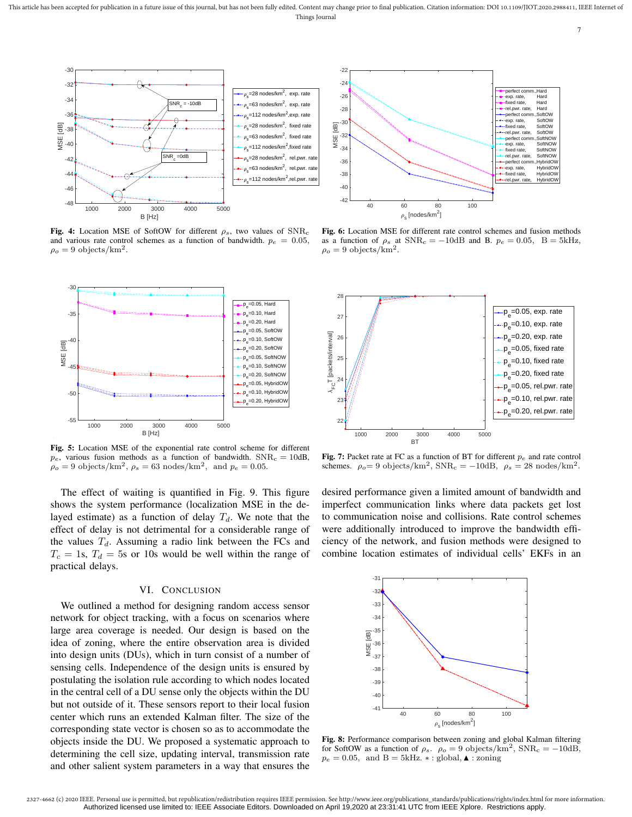

Fig. 4: Location MSE of SoftOW for different  $\rho_s$ , two values of SNR<sub>c</sub> and various rate control schemes as a function of bandwidth.  $p_e = 0.05$ ,  $\rho_o = 9$  objects/km<sup>2</sup>.



Fig. 5: Location MSE of the exponential rate control scheme for different  $p_e$ , various fusion methods as a function of bandwidth.  $SNR_c = 10dB$ ,  $\rho_o = 9$  objects/km<sup>2</sup>,  $\rho_s = 63$  nodes/km<sup>2</sup>, and  $p_e = 0.05$ .

The effect of waiting is quantified in Fig. 9. This figure shows the system performance (localization MSE in the delayed estimate) as a function of delay  $T<sub>d</sub>$ . We note that the effect of delay is not detrimental for a considerable range of the values  $T_d$ . Assuming a radio link between the FCs and  $T_c = 1$ s,  $T_d = 5$ s or 10s would be well within the range of practical delays.

## VI. CONCLUSION

We outlined a method for designing random access sensor network for object tracking, with a focus on scenarios where large area coverage is needed. Our design is based on the idea of zoning, where the entire observation area is divided into design units (DUs), which in turn consist of a number of sensing cells. Independence of the design units is ensured by postulating the isolation rule according to which nodes located in the central cell of a DU sense only the objects within the DU but not outside of it. These sensors report to their local fusion center which runs an extended Kalman filter. The size of the corresponding state vector is chosen so as to accommodate the objects inside the DU. We proposed a systematic approach to determining the cell size, updating interval, transmission rate and the sales and other sales and other sales and the sales and the sales and the sales and the sales and the sales and the sales are the sales and the sales are the sales and the sales are the sales and the sales are the



7

Fig. 6: Location MSE for different rate control schemes and fusion methods as a function of  $\rho_s$  at  $SNR_c = -10dB$  and B.  $p_e = 0.05$ , B = 5kHz,  $\rho_o = 9$  objects/km<sup>2</sup>.



Fig. 7: Packet rate at FC as a function of BT for different  $p_e$  and rate control schemes.  $\rho_o = 9$  objects/km<sup>2</sup>, SNR<sub>c</sub> = -10dB,  $\rho_s = 28$  nodes/km<sup>2</sup>.

desired performance given a limited amount of bandwidth and imperfect communication links where data packets get lost to communication noise and collisions. Rate control schemes were additionally introduced to improve the bandwidth efficiency of the network, and fusion methods were designed to combine location estimates of individual cells' EKFs in an



Fig. 8: Performance comparison between zoning and global Kalman filtering for SoftOW as a function of  $\rho_s$ .  $\rho_o = 9$  objects/km<sup>2</sup>, SNR<sub>c</sub> = -10dB,  $p_e = 0.05$ , and B = 5kHz.  $*$ : global,  $\triangle$ : zoning